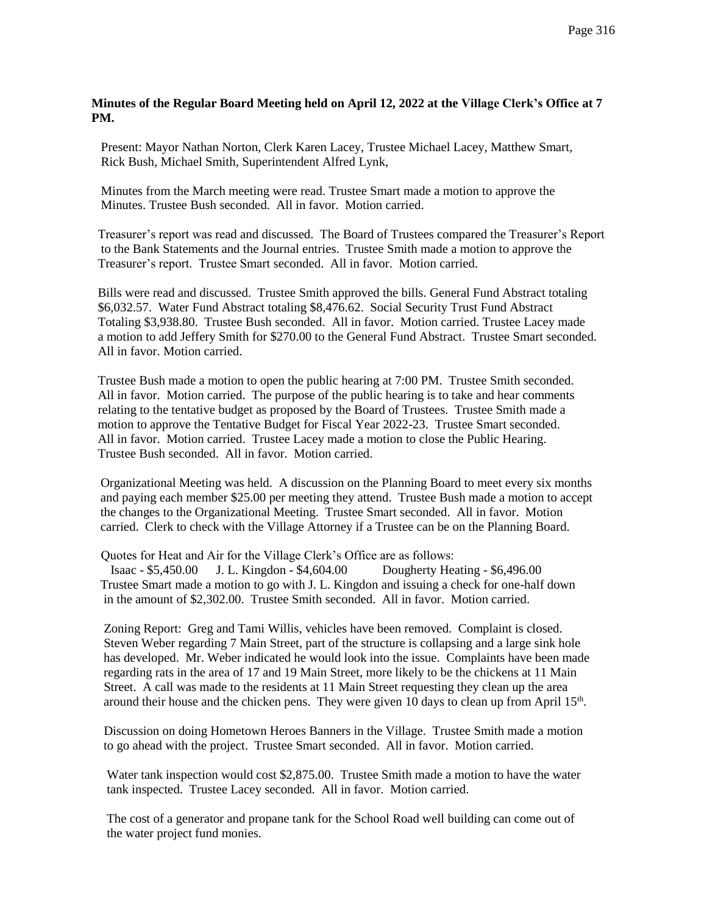## **Minutes of the Regular Board Meeting held on April 12, 2022 at the Village Clerk's Office at 7 PM.**

 Present: Mayor Nathan Norton, Clerk Karen Lacey, Trustee Michael Lacey, Matthew Smart, Rick Bush, Michael Smith, Superintendent Alfred Lynk,

 Minutes from the March meeting were read. Trustee Smart made a motion to approve the Minutes. Trustee Bush seconded. All in favor. Motion carried.

 Treasurer's report was read and discussed. The Board of Trustees compared the Treasurer's Report to the Bank Statements and the Journal entries. Trustee Smith made a motion to approve the Treasurer's report. Trustee Smart seconded. All in favor. Motion carried.

 Bills were read and discussed. Trustee Smith approved the bills. General Fund Abstract totaling \$6,032.57. Water Fund Abstract totaling \$8,476.62. Social Security Trust Fund Abstract Totaling \$3,938.80. Trustee Bush seconded. All in favor. Motion carried. Trustee Lacey made a motion to add Jeffery Smith for \$270.00 to the General Fund Abstract. Trustee Smart seconded. All in favor. Motion carried.

 Trustee Bush made a motion to open the public hearing at 7:00 PM. Trustee Smith seconded. All in favor. Motion carried. The purpose of the public hearing is to take and hear comments relating to the tentative budget as proposed by the Board of Trustees. Trustee Smith made a motion to approve the Tentative Budget for Fiscal Year 2022-23. Trustee Smart seconded. All in favor. Motion carried. Trustee Lacey made a motion to close the Public Hearing. Trustee Bush seconded. All in favor. Motion carried.

 Organizational Meeting was held. A discussion on the Planning Board to meet every six months and paying each member \$25.00 per meeting they attend. Trustee Bush made a motion to accept the changes to the Organizational Meeting. Trustee Smart seconded. All in favor. Motion carried. Clerk to check with the Village Attorney if a Trustee can be on the Planning Board.

Quotes for Heat and Air for the Village Clerk's Office are as follows:

 Isaac - \$5,450.00 J. L. Kingdon - \$4,604.00 Dougherty Heating - \$6,496.00 Trustee Smart made a motion to go with J. L. Kingdon and issuing a check for one-half down in the amount of \$2,302.00. Trustee Smith seconded. All in favor. Motion carried.

 Zoning Report: Greg and Tami Willis, vehicles have been removed. Complaint is closed. Steven Weber regarding 7 Main Street, part of the structure is collapsing and a large sink hole has developed. Mr. Weber indicated he would look into the issue. Complaints have been made regarding rats in the area of 17 and 19 Main Street, more likely to be the chickens at 11 Main Street. A call was made to the residents at 11 Main Street requesting they clean up the area around their house and the chicken pens. They were given 10 days to clean up from April  $15<sup>th</sup>$ .

> Discussion on doing Hometown Heroes Banners in the Village. Trustee Smith made a motion to go ahead with the project. Trustee Smart seconded. All in favor. Motion carried.

> Water tank inspection would cost \$2,875.00. Trustee Smith made a motion to have the water tank inspected. Trustee Lacey seconded. All in favor. Motion carried.

 The cost of a generator and propane tank for the School Road well building can come out of the water project fund monies.